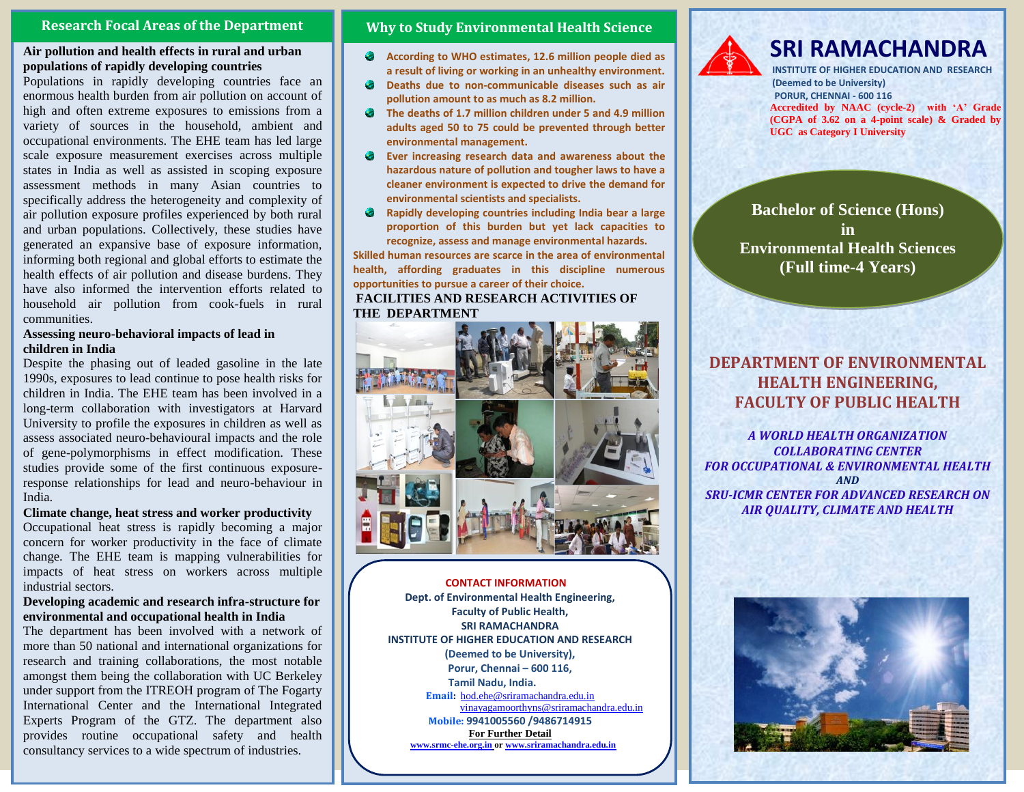## **Research Focal Areas of the Department**

## **Air pollution and health effects in rural and urban populations of rapidly developing countries**

Populations in rapidly developing countries face an enormous health burden from air pollution on account of high and often extreme exposures to emissions from a variety of sources in the household, ambient and occupational environments. The EHE team has led large scale exposure measurement exercises across multiple states in India as well as assisted in scoping exposure assessment methods in many Asian countries to specifically address the heterogeneity and complexity of air pollution exposure profiles experienced by both rural and urban populations. Collectively, these studies have generated an expansive base of exposure information, informing both regional and global efforts to estimate the health effects of air pollution and disease burdens. They have also informed the intervention efforts related to household air pollution from cook-fuels in rural communities.

## **Assessing neuro-behavioral impacts of lead in children in India**

Despite the phasing out of leaded gasoline in the late 1990s, exposures to lead continue to pose health risks for children in India. The EHE team has been involved in a long-term collaboration with investigators at Harvard University to profile the exposures in children as well as assess associated neuro-behavioural impacts and the role of gene-polymorphisms in effect modification. These studies provide some of the first continuous exposureresponse relationships for lead and neuro-behaviour in India.

#### **Climate change, heat stress and worker productivity**

Occupational heat stress is rapidly becoming a major concern for worker productivity in the face of climate change. The EHE team is mapping vulnerabilities for impacts of heat stress on workers across multiple industrial sectors.

## **Developing academic and research infra-structure for environmental and occupational health in India**

The department has been involved with a network of more than 50 national and international organizations for research and training collaborations, the most notable amongst them being the collaboration with UC Berkeley under support from the ITREOH program of The Fogarty International Center and the International Integrated Experts Program of the GTZ. The department also provides routine occupational safety and health consultancy services to a wide spectrum of industries.

## **Why to Study Environmental Health Science**

- **According to WHO estimates, 12.6 million people died as a result of living or working in an unhealthy environment.**
- ۰ **Deaths due to non-communicable diseases such as air pollution amount to as much as 8.2 million.**
- $\bullet$ **The deaths of 1.7 million children under 5 and 4.9 million adults aged 50 to 75 could be prevented through better environmental management.**
- $\bullet$ **Ever increasing research data and awareness about the hazardous nature of pollution and tougher laws to have a cleaner environment is expected to drive the demand for environmental scientists and specialists.**
- ۰ **Rapidly developing countries including India bear a large proportion of this burden but yet lack capacities to recognize, assess and manage environmental hazards.**

**Skilled human resources are scarce in the area of environmental health, affording graduates in this discipline numerous opportunities to pursue a career of their choice. FACILITIES AND RESEARCH ACTIVITIES OF THE DEPARTMENT**



**Phone: 044- 45928547 (EHE),** vinayagamoorthyns@sriramachandra.edu.in **Mobile: 9941005560 /8939715532 Mobile: 9941005560 /9486714915 Faculty of Public Health, SRI RAMACHANDRA CONTACT INFORMATION Dept. of Environmental Health Engineering, INSTITUTE OF HIGHER EDUCATION AND RESEARCH (Deemed to be University), Porur, Chennai – 600 116, Tamil Nadu, India. Email:** [hod.ehe@sriramachandra.edu.in](mailto:hod.ehe@sriramachandra.edu.in)

**For Further Detail For f[urther information a](http://www.srmc-ehe.org.in/)nd application form, please visit www.srmc-ehe.org.in or [www.sriramachandra.edu.in](http://www.sriramachandra.edu.in/)**



# **SRI RAMACHANDRA**

**INSTITUTE OF HIGHER EDUCATION AND RESEARCH (Deemed to be University) PORUR, CHENNAI - 600 116 Accredited by NAAC (cycle-2) with 'A' Grade (CGPA of 3.62 on a 4-point scale) & Graded by UGC as Category I University**

**Bachelor of Science (Hons) in Environmental Health Sciences (Full time-4 Years)**

## **DEPARTMENT OF ENVIRONMENTAL HEALTH ENGINEERING, FACULTY OF PUBLIC HEALTH**

*A WORLD HEALTH ORGANIZATION COLLABORATING CENTER FOR OCCUPATIONAL & ENVIRONMENTAL HEALTH AND SRU-ICMR CENTER FOR ADVANCED RESEARCH ON AIR QUALITY, CLIMATE AND HEALTH*